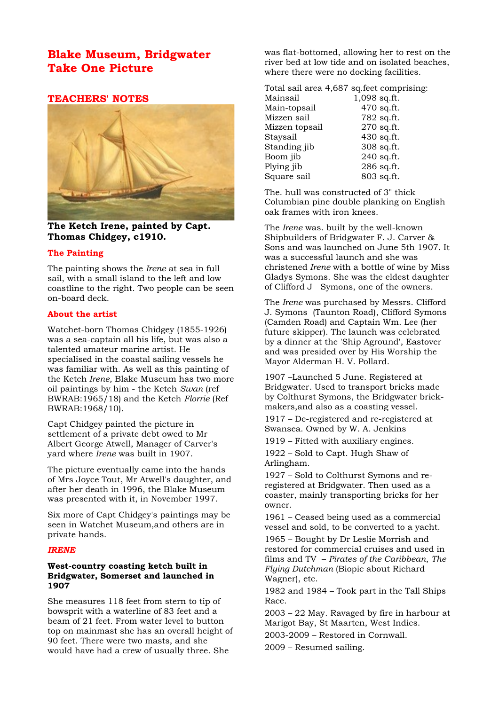# **Blake Museum, Bridgwater Take One Picture**

# **TEACHERS' NOTES**



**The Ketch Irene, painted by Capt. Thomas Chidgey, c1910.**

## **The Painting**

The painting shows the *Irene* at sea in full sail, with a small island to the left and low coastline to the right. Two people can be seen on-board deck.

## **About the artist**

Watchet-born Thomas Chidgey (1855-1926) was a sea-captain all his life, but was also a talented amateur marine artist. He specialised in the coastal sailing vessels he was familiar with. As well as this painting of the Ketch *Irene,* Blake Museum has two more oil paintings by him - the Ketch *Swan* (ref BWRAB:1965/18) and the Ketch *Florrie* (Ref BWRAB:1968/10).

Capt Chidgey painted the picture in settlement of a private debt owed to Mr Albert George Atwell, Manager of Carver's yard where *Irene* was built in 1907.

The picture eventually came into the hands of Mrs Joyce Tout, Mr Atwell's daughter, and after her death in 1996, the Blake Museum was presented with it, in November 1997.

Six more of Capt Chidgey's paintings may be seen in Watchet Museum,and others are in private hands.

### *IRENE*

## **West-country coasting ketch built in Bridgwater, Somerset and launched in 1907**

She measures 118 feet from stern to tip of bowsprit with a waterline of 83 feet and a beam of 21 feet. From water level to button top on mainmast she has an overall height of 90 feet. There were two masts, and she would have had a crew of usually three. She

was flat-bottomed, allowing her to rest on the river bed at low tide and on isolated beaches, where there were no docking facilities.

Total sail area 4,687 sq.feet comprising: Mainsail 1.098 sq.ft. Main-topsail 470 sq.ft.<br>Mizzen sail 780 sq.ft.

| Mizzen sail    | 782 sq.ft. |
|----------------|------------|
| Mizzen topsail | 270 sq.ft. |
| Staysail       | 430 sq.ft. |
| Standing jib   | 308 sq.ft. |
| Boom jib       | 240 sq.ft. |
| Plying jib     | 286 sq.ft. |
| Square sail    | 803 sq.ft. |
|                |            |

The. hull was constructed of 3" thick Columbian pine double planking on English oak frames with iron knees.

The *Irene* was. built by the well-known Shipbuilders of Bridgwater F. J. Carver & Sons and was launched on June 5th 1907. It was a successful launch and she was christened *Irene* with a bottle of wine by Miss Gladys Symons. She was the eldest daughter of Clifford J Symons, one of the owners.

The *Irene* was purchased by Messrs. Clifford J. Symons (Taunton Road), Clifford Symons (Camden Road) and Captain Wm. Lee (her future skipper). The launch was celebrated by a dinner at the 'Ship Aground', Eastover and was presided over by His Worship the Mayor Alderman H. V. Pollard.

1907 –Launched 5 June. Registered at Bridgwater. Used to transport bricks made by Colthurst Symons, the Bridgwater brickmakers,and also as a coasting vessel.

1917 – De-registered and re-registered at Swansea. Owned by W. A. Jenkins

1919 – Fitted with auxiliary engines.

1922 – Sold to Capt. Hugh Shaw of Arlingham.

1927 – Sold to Colthurst Symons and reregistered at Bridgwater. Then used as a coaster, mainly transporting bricks for her owner.

1961 – Ceased being used as a commercial vessel and sold, to be converted to a yacht.

1965 – Bought by Dr Leslie Morrish and restored for commercial cruises and used in films and TV – *Pirates of the Caribbean*, *The Flying Dutchman* (Biopic about Richard Wagner), etc.

1982 and 1984 – Took part in the Tall Ships Race.

2003 – 22 May. Ravaged by fire in harbour at Marigot Bay, St Maarten, West Indies.

2003-2009 – Restored in Cornwall.

2009 – Resumed sailing.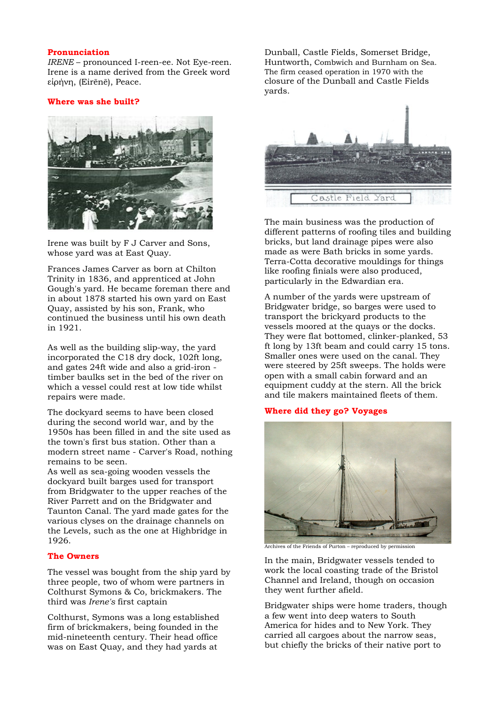#### **Pronunciation**

*IRENE* – pronounced I-reen-ee. Not Eye-reen. Irene is a name derived from the Greek word είρήνη, (Eirēnē), Peace.

### **Where was she built?**



Irene was built by F J Carver and Sons, whose yard was at East Quay.

Frances James Carver as born at Chilton Trinity in 1836, and apprenticed at John Gough's yard. He became foreman there and in about 1878 started his own yard on East Quay, assisted by his son, Frank, who continued the business until his own death in 1921.

As well as the building slip-way, the yard incorporated the C18 dry dock, 102ft long, and gates 24ft wide and also a grid-iron timber baulks set in the bed of the river on which a vessel could rest at low tide whilst repairs were made.

The dockyard seems to have been closed during the second world war, and by the 1950s has been filled in and the site used as the town's first bus station. Other than a modern street name - Carver's Road, nothing remains to be seen.

As well as sea-going wooden vessels the dockyard built barges used for transport from Bridgwater to the upper reaches of the River Parrett and on the Bridgwater and Taunton Canal. The yard made gates for the various clyses on the drainage channels on the Levels, such as the one at Highbridge in 1926.

### **The Owners**

The vessel was bought from the ship yard by three people, two of whom were partners in Colthurst Symons & Co, brickmakers. The third was *Irene's* first captain

Colthurst, Symons was a long established firm of brickmakers, being founded in the mid-nineteenth century. Their head office was on East Quay, and they had yards at

Dunball, Castle Fields, Somerset Bridge, Huntworth, Combwich and Burnham on Sea. The firm ceased operation in 1970 with the closure of the Dunball and Castle Fields yards.



The main business was the production of different patterns of roofing tiles and building bricks, but land drainage pipes were also made as were Bath bricks in some yards. Terra-Cotta decorative mouldings for things like roofing finials were also produced, particularly in the Edwardian era.

A number of the yards were upstream of Bridgwater bridge, so barges were used to transport the brickyard products to the vessels moored at the quays or the docks. They were flat bottomed, clinker-planked, 53 ft long by 13ft beam and could carry 15 tons. Smaller ones were used on the canal. They were steered by 25ft sweeps. The holds were open with a small cabin forward and an equipment cuddy at the stern. All the brick and tile makers maintained fleets of them.

### **Where did they go? Voyages**



Archives of the Friends of Purton – reproduced by permission

In the main, Bridgwater vessels tended to work the local coasting trade of the Bristol Channel and Ireland, though on occasion they went further afield.

Bridgwater ships were home traders, though a few went into deep waters to South America for hides and to New York. They carried all cargoes about the narrow seas, but chiefly the bricks of their native port to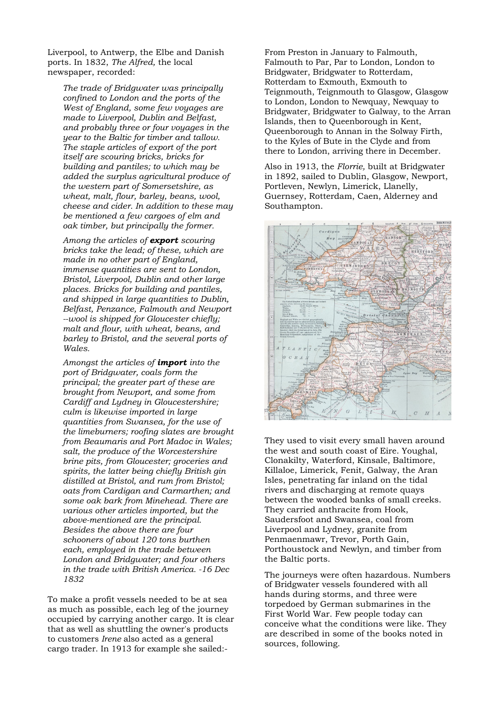Liverpool, to Antwerp, the Elbe and Danish ports. In 1832, *The Alfred,* the local newspaper, recorded:

*The trade of Bridgwater was principally confined to London and the ports of the West of England, some few voyages are made to Liverpool, Dublin and Belfast, and probably three or four voyages in the year to the Baltic for timber and tallow. The staple articles of export of the port itself are scouring bricks, bricks for building and pantiles; to which may be added the surplus agricultural produce of the western part of Somersetshire, as wheat, malt, flour, barley, beans, wool, cheese and cider. In addition to these may be mentioned a few cargoes of elm and oak timber, but principally the former.*

*Among the articles of export scouring bricks take the lead; of these, which are made in no other part of England, immense quantities are sent to London, Bristol, Liverpool, Dublin and other large places. Bricks for building and pantiles, and shipped in large quantities to Dublin, Belfast, Penzance, Falmouth and Newport --wool is shipped for Gloucester chiefly; malt and flour, with wheat, beans, and barley to Bristol, and the several ports of Wales.*

*Amongst the articles of import into the port of Bridgwater, coals form the principal; the greater part of these are brought from Newport, and some from Cardiff and Lydney in Gloucestershire; culm is likewise imported in large quantities from Swansea, for the use of the limeburners; roofing slates are brought from Beaumaris and Port Madoc in Wales; salt, the produce of the Worcestershire brine pits, from Gloucester; groceries and spirits, the latter being chiefly British gin distilled at Bristol, and rum from Bristol; oats from Cardigan and Carmarthen; and some oak bark from Minehead. There are various other articles imported, but the above-mentioned are the principal. Besides the above there are four schooners of about 120 tons burthen each, employed in the trade between London and Bridgwater; and four others in the trade with British America. -16 Dec 1832*

To make a profit vessels needed to be at sea as much as possible, each leg of the journey occupied by carrying another cargo. It is clear that as well as shuttling the owner's products to customers *Irene* also acted as a general cargo trader. In 1913 for example she sailed:-

From Preston in January to Falmouth, Falmouth to Par, Par to London, London to Bridgwater, Bridgwater to Rotterdam, Rotterdam to Exmouth, Exmouth to Teignmouth, Teignmouth to Glasgow, Glasgow to London, London to Newquay, Newquay to Bridgwater, Bridgwater to Galway, to the Arran Islands, then to Queenborough in Kent, Queenborough to Annan in the Solway Firth, to the Kyles of Bute in the Clyde and from there to London, arriving there in December.

Also in 1913, the *Florrie,* built at Bridgwater in 1892, sailed to Dublin, Glasgow, Newport, Portleven, Newlyn, Limerick, Llanelly, Guernsey, Rotterdam, Caen, Alderney and Southampton.



They used to visit every small haven around the west and south coast of Eire. Youghal, Clonakilty, Waterford, Kinsale, Baltimore, Killaloe, Limerick, Fenit, Galway, the Aran Isles, penetrating far inland on the tidal rivers and discharging at remote quays between the wooded banks of small creeks. They carried anthracite from Hook, Saudersfoot and Swansea, coal from Liverpool and Lydney, granite from Penmaenmawr, Trevor, Porth Gain, Porthoustock and Newlyn, and timber from the Baltic ports.

The journeys were often hazardous. Numbers of Bridgwater vessels foundered with all hands during storms, and three were torpedoed by German submarines in the First World War. Few people today can conceive what the conditions were like. They are described in some of the books noted in sources, following.